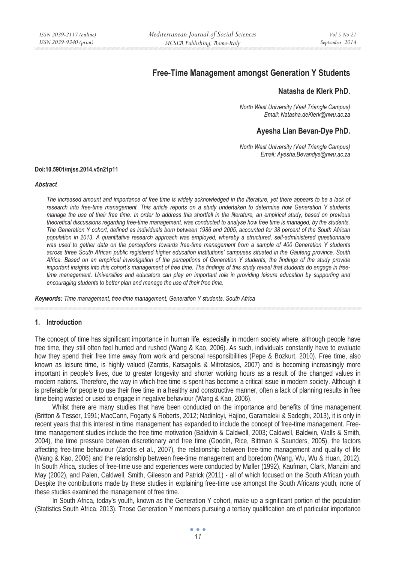# **Free-Time Management amongst Generation Y Students**

# **Natasha de Klerk PhD.**

*North West University (Vaal Triangle Campus) Email: Natasha.deKlerk@nwu.ac.za* 

# **Ayesha Lian Bevan-Dye PhD.**

*North West University (Vaal Triangle Campus) Email: Ayesha.Bevandye@nwu.ac.za* 

#### **Doi:10.5901/mjss.2014.v5n21p11**

#### *Abstract*

*The increased amount and importance of free time is widely acknowledged in the literature, yet there appears to be a lack of research into free-time management. This article reports on a study undertaken to determine how Generation Y students manage the use of their free time. In order to address this shortfall in the literature, an empirical study, based on previous theoretical discussions regarding free-time management, was conducted to analyse how free time is managed, by the students. The Generation Y cohort, defined as individuals born between 1986 and 2005, accounted for 38 percent of the South African population in 2013. A quantitative research approach was employed, whereby a structured, self-administered questionnaire was used to gather data on the perceptions towards free-time management from a sample of 400 Generation Y students across three South African public registered higher education institutions' campuses situated in the Gauteng province, South Africa. Based on an empirical investigation of the perceptions of Generation Y students, the findings of the study provide important insights into this cohort's management of free time. The findings of this study reveal that students do engage in free*time management. Universities and educators can play an important role in providing leisure education by supporting and *encouraging students to better plan and manage the use of their free time.* 

*Keywords: Time management, free-time management, Generation Y students, South Africa* 

#### **1. Introduction**

The concept of time has significant importance in human life, especially in modern society where, although people have free time, they still often feel hurried and rushed (Wang & Kao, 2006). As such, individuals constantly have to evaluate how they spend their free time away from work and personal responsibilities (Pepe & Bozkurt, 2010). Free time, also known as leisure time, is highly valued (Zarotis, Katsagolis & Mitrotasios, 2007) and is becoming increasingly more important in people's lives, due to greater longevity and shorter working hours as a result of the changed values in modern nations. Therefore, the way in which free time is spent has become a critical issue in modern society. Although it is preferable for people to use their free time in a healthy and constructive manner, often a lack of planning results in free time being wasted or used to engage in negative behaviour (Wang & Kao, 2006).

Whilst there are many studies that have been conducted on the importance and benefits of time management (Britton & Tesser, 1991; MacCann, Fogarty & Roberts, 2012; Nadinloyi, Hajloo, Garamaleki & Sadeghi, 2013), it is only in recent years that this interest in time management has expanded to include the concept of free-time management. Freetime management studies include the free time motivation (Baldwin & Caldwell, 2003; Caldwell, Baldwin, Walls & Smith, 2004), the time pressure between discretionary and free time (Goodin, Rice, Bittman & Saunders, 2005), the factors affecting free-time behaviour (Zarotis et al., 2007), the relationship between free-time management and quality of life (Wang & Kao, 2006) and the relationship between free-time management and boredom (Wang, Wu, Wu & Huan, 2012). In South Africa, studies of free-time use and experiences were conducted by Møller (1992), Kaufman, Clark, Manzini and May (2002), and Palen, Caldwell, Smith, Gileeson and Patrick (2011) - all of which focused on the South African youth. Despite the contributions made by these studies in explaining free-time use amongst the South Africans youth, none of these studies examined the management of free time.

In South Africa, today's youth, known as the Generation Y cohort, make up a significant portion of the population (Statistics South Africa, 2013). Those Generation Y members pursuing a tertiary qualification are of particular importance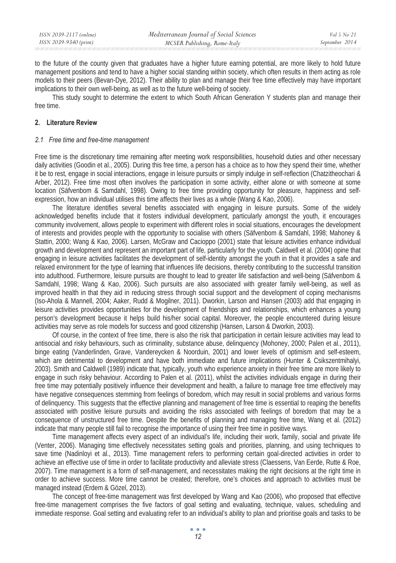to the future of the county given that graduates have a higher future earning potential, are more likely to hold future management positions and tend to have a higher social standing within society, which often results in them acting as role models to their peers (Bevan-Dye, 2012). Their ability to plan and manage their free time effectively may have important implications to their own well-being, as well as to the future well-being of society.

This study sought to determine the extent to which South African Generation Y students plan and manage their free time.

# **2. Literature Review**

#### *2.1 Free time and free-time management*

Free time is the discretionary time remaining after meeting work responsibilities, household duties and other necessary daily activities (Goodin et al., 2005). During this free time, a person has a choice as to how they spend their time, whether it be to rest, engage in social interactions, engage in leisure pursuits or simply indulge in self-reflection (Chatzitheochari & Arber, 2012). Free time most often involves the participation in some activity, either alone or with someone at some location (Säfvenbom & Samdahl, 1998). Owing to free time providing opportunity for pleasure, happiness and selfexpression, how an individual utilises this time affects their lives as a whole (Wang & Kao, 2006).

The literature identifies several benefits associated with engaging in leisure pursuits. Some of the widely acknowledged benefits include that it fosters individual development, particularly amongst the youth, it encourages community involvement, allows people to experiment with different roles in social situations, encourages the development of interests and provides people with the opportunity to socialise with others (Säfvenbom & Samdahl, 1998; Mahoney & Stattin, 2000; Wang & Kao, 2006). Larsen, McGraw and Cacioppo (2001) state that leisure activities enhance individual growth and development and represent an important part of life, particularly for the youth. Caldwell et al. (2004) opine that engaging in leisure activities facilitates the development of self-identity amongst the youth in that it provides a safe and relaxed environment for the type of learning that influences life decisions, thereby contributing to the successful transition into adulthood. Furthermore, leisure pursuits are thought to lead to greater life satisfaction and well-being (Säfvenbom & Samdahl, 1998; Wang & Kao, 2006). Such pursuits are also associated with greater family well-being, as well as improved health in that they aid in reducing stress through social support and the development of coping mechanisms (Iso-Ahola & Mannell, 2004; Aaker, Rudd & Mogilner, 2011). Dworkin, Larson and Hansen (2003) add that engaging in leisure activities provides opportunities for the development of friendships and relationships, which enhances a young person's development because it helps build his/her social capital. Moreover, the people encountered during leisure activities may serve as role models for success and good citizenship (Hansen, Larson & Dworkin, 2003).

Of course, in the context of free time, there is also the risk that participation in certain leisure activities may lead to antisocial and risky behaviours, such as criminality, substance abuse, delinquency (Mohoney, 2000; Palen et al., 2011), binge eating (Vanderlinden, Grave, Vandereycken & Noorduin, 2001) and lower levels of optimism and self-esteem, which are detrimental to development and have both immediate and future implications (Hunter & Csikszentmihalyi, 2003). Smith and Caldwell (1989) indicate that, typically, youth who experience anxiety in their free time are more likely to engage in such risky behaviour. According to Palen et al. (2011), whilst the activities individuals engage in during their free time may potentially positively influence their development and health, a failure to manage free time effectively may have negative consequences stemming from feelings of boredom, which may result in social problems and various forms of delinquency. This suggests that the effective planning and management of free time is essential to reaping the benefits associated with positive leisure pursuits and avoiding the risks associated with feelings of boredom that may be a consequence of unstructured free time. Despite the benefits of planning and managing free time, Wang et al. (2012) indicate that many people still fail to recognise the importance of using their free time in positive ways.

Time management affects every aspect of an individual's life, including their work, family, social and private life (Venter, 2006). Managing time effectively necessitates setting goals and priorities, planning, and using techniques to save time (Nadinloyi et al., 2013). Time management refers to performing certain goal-directed activities in order to achieve an effective use of time in order to facilitate productivity and alleviate stress (Claessens, Van Eerde, Rutte & Roe, 2007). Time management is a form of self-management, and necessitates making the right decisions at the right time in order to achieve success. More time cannot be created; therefore, one's choices and approach to activities must be managed instead (Erdem & Gözel, 2013).

The concept of free-time management was first developed by Wang and Kao (2006), who proposed that effective free-time management comprises the five factors of goal setting and evaluating, technique, values, scheduling and immediate response. Goal setting and evaluating refer to an individual's ability to plan and prioritise goals and tasks to be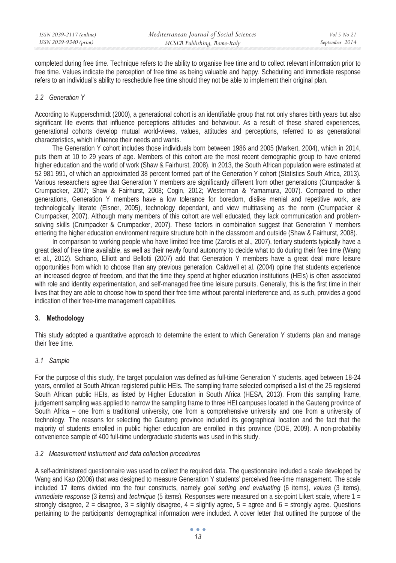completed during free time. Technique refers to the ability to organise free time and to collect relevant information prior to free time. Values indicate the perception of free time as being valuable and happy. Scheduling and immediate response refers to an individual's ability to reschedule free time should they not be able to implement their original plan.

# *2.2 Generation Y*

According to Kupperschmidt (2000), a generational cohort is an identifiable group that not only shares birth years but also significant life events that influence perceptions attitudes and behaviour. As a result of these shared experiences, generational cohorts develop mutual world-views, values, attitudes and perceptions, referred to as generational characteristics, which influence their needs and wants.

The Generation Y cohort includes those individuals born between 1986 and 2005 (Markert, 2004), which in 2014, puts them at 10 to 29 years of age. Members of this cohort are the most recent demographic group to have entered higher education and the world of work (Shaw & Fairhurst, 2008). In 2013, the South African population were estimated at 52 981 991, of which an approximated 38 percent formed part of the Generation Y cohort (Statistics South Africa, 2013). Various researchers agree that Generation Y members are significantly different from other generations (Crumpacker & Crumpacker, 2007; Shaw & Fairhurst, 2008; Cogin, 2012; Westerman & Yamamura, 2007). Compared to other generations, Generation Y members have a low tolerance for boredom, dislike menial and repetitive work, are technologically literate (Eisner, 2005), technology dependant, and view multitasking as the norm (Crumpacker & Crumpacker, 2007). Although many members of this cohort are well educated, they lack communication and problemsolving skills (Crumpacker & Crumpacker, 2007). These factors in combination suggest that Generation Y members entering the higher education environment require structure both in the classroom and outside (Shaw & Fairhurst, 2008).

In comparison to working people who have limited free time (Zarotis et al., 2007), tertiary students typically have a great deal of free time available, as well as their newly found autonomy to decide what to do during their free time (Wang et al., 2012). Schiano, Elliott and Bellotti (2007) add that Generation Y members have a great deal more leisure opportunities from which to choose than any previous generation. Caldwell et al. (2004) opine that students experience an increased degree of freedom, and that the time they spend at higher education institutions (HEIs) is often associated with role and identity experimentation, and self-managed free time leisure pursuits. Generally, this is the first time in their lives that they are able to choose how to spend their free time without parental interference and, as such, provides a good indication of their free-time management capabilities.

# **3. Methodology**

This study adopted a quantitative approach to determine the extent to which Generation Y students plan and manage their free time.

# *3.1 Sample*

For the purpose of this study, the target population was defined as full-time Generation Y students, aged between 18-24 years, enrolled at South African registered public HEIs. The sampling frame selected comprised a list of the 25 registered South African public HEIs, as listed by Higher Education in South Africa (HESA, 2013). From this sampling frame, judgement sampling was applied to narrow the sampling frame to three HEI campuses located in the Gauteng province of South Africa – one from a traditional university, one from a comprehensive university and one from a university of technology. The reasons for selecting the Gauteng province included its geographical location and the fact that the majority of students enrolled in public higher education are enrolled in this province (DOE, 2009). A non-probability convenience sample of 400 full-time undergraduate students was used in this study.

# *3.2 Measurement instrument and data collection procedures*

A self-administered questionnaire was used to collect the required data. The questionnaire included a scale developed by Wang and Kao (2006) that was designed to measure Generation Y students' perceived free-time management. The scale included 17 items divided into the four constructs, namely *goal setting and evaluating* (6 items), *values* (3 items), *immediate response* (3 items) and *technique* (5 items). Responses were measured on a six-point Likert scale, where 1 = strongly disagree,  $2 =$  disagree,  $3 =$  slightly disagree,  $4 =$  slightly agree,  $5 =$  agree and  $6 =$  strongly agree. Questions pertaining to the participants' demographical information were included. A cover letter that outlined the purpose of the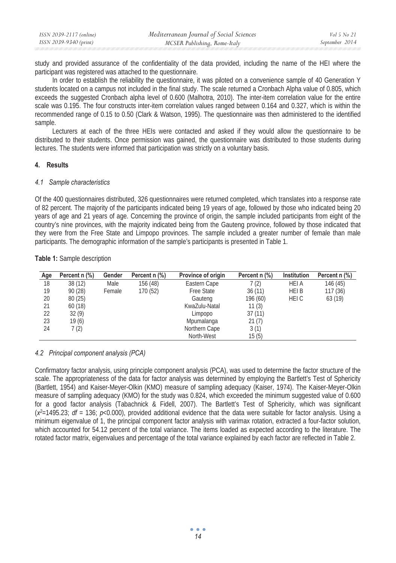| ISSN 2039-2117 (online) | Mediterranean Journal of Social Sciences | Vol 5 No 21    |
|-------------------------|------------------------------------------|----------------|
| ISSN 2039-9340 (print)  | MCSER Publishing, Rome-Italy             | September 2014 |

study and provided assurance of the confidentiality of the data provided, including the name of the HEI where the participant was registered was attached to the questionnaire.

In order to establish the reliability the questionnaire, it was piloted on a convenience sample of 40 Generation Y students located on a campus not included in the final study. The scale returned a Cronbach Alpha value of 0.805, which exceeds the suggested Cronbach alpha level of 0.600 (Malhotra, 2010). The inter-item correlation value for the entire scale was 0.195. The four constructs inter-item correlation values ranged between 0.164 and 0.327, which is within the recommended range of 0.15 to 0.50 (Clark & Watson, 1995). The questionnaire was then administered to the identified sample.

Lecturers at each of the three HEIs were contacted and asked if they would allow the questionnaire to be distributed to their students. Once permission was gained, the questionnaire was distributed to those students during lectures. The students were informed that participation was strictly on a voluntary basis.

### **4. Results**

#### *4.1 Sample characteristics*

Of the 400 questionnaires distributed, 326 questionnaires were returned completed, which translates into a response rate of 82 percent. The majority of the participants indicated being 19 years of age, followed by those who indicated being 20 years of age and 21 years of age. Concerning the province of origin, the sample included participants from eight of the country's nine provinces, with the majority indicated being from the Gauteng province, followed by those indicated that they were from the Free State and Limpopo provinces. The sample included a greater number of female than male participants. The demographic information of the sample's participants is presented in Table 1.

### **Table 1:** Sample description

| Age | Percent n (%) | Gender | Percent n (%) | Province of origin | Percent n (%) | <b>Institution</b> | Percent n (%) |
|-----|---------------|--------|---------------|--------------------|---------------|--------------------|---------------|
| 18  | 38 (12)       | Male   | 156 (48)      | Eastern Cape       | 7 (2)         | HEI A              | 146 (45)      |
| 19  | 90(28)        | Female | 170 (52)      | Free State         | 36(11)        | HEI B              | 117(36)       |
| 20  | 80(25)        |        |               | Gauteng            | 196 (60)      | HEI C              | 63 (19)       |
| 21  | 60(18)        |        |               | KwaZulu-Natal      | 11(3)         |                    |               |
| 22  | 32(9)         |        |               | Limpopo            | 37(11)        |                    |               |
| 23  | 19(6)         |        |               | Mpumalanga         | 21(7)         |                    |               |
| 24  | 7 (2)         |        |               | Northern Cape      | 3(1)          |                    |               |
|     |               |        |               | North-West         | 15(5)         |                    |               |

# *4.2 Principal component analysis (PCA)*

Confirmatory factor analysis, using principle component analysis (PCA), was used to determine the factor structure of the scale. The appropriateness of the data for factor analysis was determined by employing the Bartlett's Test of Sphericity (Bartlett, 1954) and Kaiser-Meyer-Olkin (KMO) measure of sampling adequacy (Kaiser, 1974). The Kaiser-Meyer-Olkin measure of sampling adequacy (KMO) for the study was 0.824, which exceeded the minimum suggested value of 0.600 for a good factor analysis (Tabachnick & Fidell, 2007). The Bartlett's Test of Sphericity, which was significant (*x2*=1495.23; *df* = 136; *p*<0.000), provided additional evidence that the data were suitable for factor analysis. Using a minimum eigenvalue of 1, the principal component factor analysis with varimax rotation, extracted a four-factor solution, which accounted for 54.12 percent of the total variance. The items loaded as expected according to the literature. The rotated factor matrix, eigenvalues and percentage of the total variance explained by each factor are reflected in Table 2.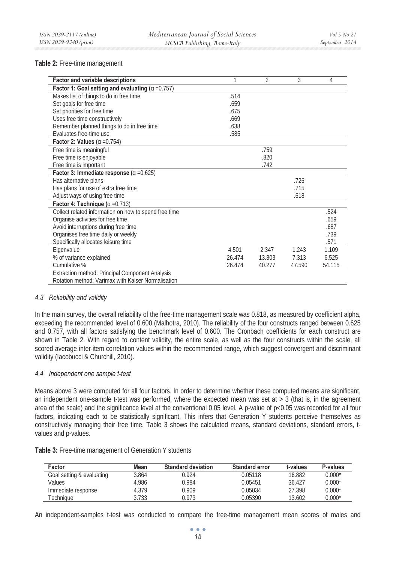### **Table 2:** Free-time management

| <b>Factor and variable descriptions</b>                    | 1      | $\overline{2}$ | 3      | 4      |
|------------------------------------------------------------|--------|----------------|--------|--------|
| Factor 1: Goal setting and evaluating ( $\alpha = 0.757$ ) |        |                |        |        |
| Makes list of things to do in free time                    | .514   |                |        |        |
| Set goals for free time                                    | .659   |                |        |        |
| Set priorities for free time                               | .675   |                |        |        |
| Uses free time constructively                              | .669   |                |        |        |
| Remember planned things to do in free time                 | .638   |                |        |        |
| Evaluates free-time use                                    | .585   |                |        |        |
| Factor 2: Values ( $\alpha$ =0.754)                        |        |                |        |        |
| Free time is meaningful                                    |        | .759           |        |        |
| Free time is enjoyable                                     |        | .820           |        |        |
| Free time is important                                     |        | .742           |        |        |
| Factor 3: Immediate response ( $\alpha$ =0.625)            |        |                |        |        |
| Has alternative plans                                      |        |                | .726   |        |
| Has plans for use of extra free time                       |        |                | .715   |        |
| Adjust ways of using free time                             |        |                | .618   |        |
| Factor 4: Technique ( $\alpha = 0.713$ )                   |        |                |        |        |
| Collect related information on how to spend free time      |        |                |        | .524   |
| Organise activities for free time                          |        |                |        | .659   |
| Avoid interruptions during free time                       |        |                |        | .687   |
| Organises free time daily or weekly                        |        |                |        | .739   |
| Specifically allocates leisure time                        |        |                |        | .571   |
| Eigenvalue                                                 | 4.501  | 2.347          | 1.243  | 1.109  |
| % of variance explained                                    | 26.474 | 13.803         | 7.313  | 6.525  |
| Cumulative %                                               | 26.474 | 40.277         | 47.590 | 54.115 |
| Extraction method: Principal Component Analysis            |        |                |        |        |
| Rotation method: Varimax with Kaiser Normalisation         |        |                |        |        |

# *4.3 Reliability and validity*

In the main survey, the overall reliability of the free-time management scale was 0.818, as measured by coefficient alpha, exceeding the recommended level of 0.600 (Malhotra, 2010). The reliability of the four constructs ranged between 0.625 and 0.757, with all factors satisfying the benchmark level of 0.600. The Cronbach coefficients for each construct are shown in Table 2. With regard to content validity, the entire scale, as well as the four constructs within the scale, all scored average inter-item correlation values within the recommended range, which suggest convergent and discriminant validity (Iacobucci & Churchill, 2010).

# *4.4 Independent one sample t-test*

Means above 3 were computed for all four factors. In order to determine whether these computed means are significant, an independent one-sample t-test was performed, where the expected mean was set at  $> 3$  (that is, in the agreement area of the scale) and the significance level at the conventional 0.05 level. A p-value of p<0.05 was recorded for all four factors, indicating each to be statistically significant. This infers that Generation Y students perceive themselves as constructively managing their free time. Table 3 shows the calculated means, standard deviations, standard errors, tvalues and p-values.

| Factor                    | Mean  | <b>Standard deviation</b> | <b>Standard error</b> | t-values | P-values |
|---------------------------|-------|---------------------------|-----------------------|----------|----------|
| Goal setting & evaluating | 3.864 | 0.924                     | 0.05118               | 16.882   | $0.000*$ |
| Values                    | 4.986 | 0.984                     | 0.05451               | 36.427   | $0.000*$ |
| Immediate response        | 4.379 | 0.909                     | 0.05034               | 27.398   | $0.000*$ |
| <b>Fechnique</b>          | 3.733 | 0.973                     | 0.05390               | 13.602   | $0.000*$ |

**Table 3:** Free-time management of Generation Y students

An independent-samples t-test was conducted to compare the free-time management mean scores of males and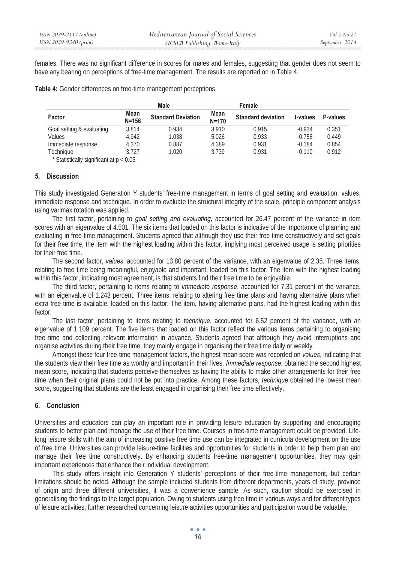females. There was no significant difference in scores for males and females, suggesting that gender does not seem to have any bearing on perceptions of free-time management. The results are reported on in Table 4.

|  | Table 4: Gender differences on free-time management perceptions |  |  |  |
|--|-----------------------------------------------------------------|--|--|--|
|  |                                                                 |  |  |  |

|                           |                   | Male                      |                   | Female                    |          |          |
|---------------------------|-------------------|---------------------------|-------------------|---------------------------|----------|----------|
| Factor                    | Mean<br>$N = 156$ | <b>Standard Deviation</b> | Mean<br>$N = 170$ | <b>Standard deviation</b> | t-values | P-values |
| Goal setting & evaluating | 3.814             | 0.934                     | 3.910             | 0.915                     | $-0.934$ | 0.351    |
| Values                    | 4.942             | 1.038                     | 5.026             | 0.933                     | $-0.758$ | 0.449    |
| Immediate response        | 4.370             | 0.887                     | 4.389             | 0.931                     | $-0.184$ | 0.854    |
| Techniaue                 | 3.727             | 1.020                     | 3.739             | 0.931                     | $-0.110$ | 0.912    |

\* Statistically significant at p < 0.05

# **5. Discussion**

This study investigated Generation Y students' free-time management in terms of goal setting and evaluation, values, immediate response and technique. In order to evaluate the structural integrity of the scale, principle component analysis using varimax rotation was applied.

The first factor, pertaining to *goal setting and evaluating*, accounted for 26.47 percent of the variance in item scores with an eigenvalue of 4.501. The six items that loaded on this factor is indicative of the importance of planning and evaluating in free-time management. Students agreed that although they use their free time constructively and set goals for their free time, the item with the highest loading within this factor, implying most perceived usage is setting priorities for their free time.

The second factor, *values*, accounted for 13.80 percent of the variance, with an eigenvalue of 2.35. Three items, relating to free time being meaningful, enjoyable and important, loaded on this factor. The item with the highest loading within this factor, indicating most agreement, is that students find their free time to be enjoyable.

The third factor, pertaining to items relating to *immediate response*, accounted for 7.31 percent of the variance, with an eigenvalue of 1.243 percent. Three items, relating to altering free time plans and having alternative plans when extra free time is available, loaded on this factor. The item, having alternative plans, had the highest loading within this factor.

The last factor, pertaining to items relating to *technique*, accounted for 6.52 percent of the variance, with an eigenvalue of 1.109 percent. The five items that loaded on this factor reflect the various items pertaining to organising free time and collecting relevant information in advance. Students agreed that although they avoid interruptions and organise activities during their free time, they mainly engage in organising their free time daily or weekly.

Amongst these four free-time management factors, the highest mean score was recorded on *values*, indicating that the students view their free time as worthy and important in their lives. *Immediate response*, obtained the second highest mean score, indicating that students perceive themselves as having the ability to make other arrangements for their free time when their original plans could not be put into practice. Among these factors, *technique* obtained the lowest mean score, suggesting that students are the least engaged in organising their free time effectively.

# **6. Conclusion**

Universities and educators can play an important role in providing leisure education by supporting and encouraging students to better plan and manage the use of their free time. Courses in free-time management could be provided. Lifelong leisure skills with the aim of increasing positive free time use can be integrated in curricula development on the use of free time. Universities can provide leisure-time facilities and opportunities for students in order to help them plan and manage their free time constructively. By enhancing students free-time management opportunities, they may gain important experiences that enhance their individual development.

This study offers insight into Generation Y students' perceptions of their free-time management, but certain limitations should be noted. Although the sample included students from different departments, years of study, province of origin and three different universities, it was a convenience sample. As such, caution should be exercised in generalising the findings to the target population. Owing to students using free time in various ways and for different types of leisure activities, further researched concerning leisure activities opportunities and participation would be valuable.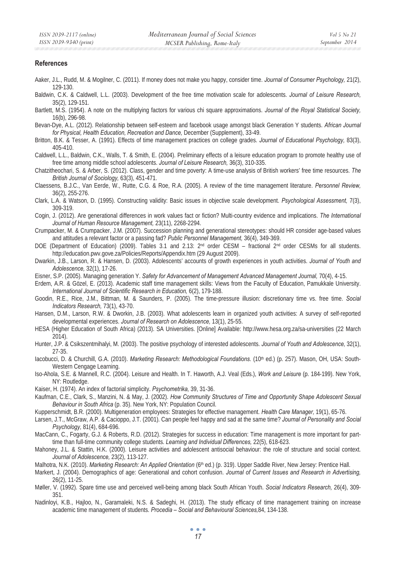#### **References**

- Aaker, J.L., Rudd, M. & Mogilner, C. (2011). If money does not make you happy, consider time. *Journal of Consumer Psychology,* 21(2), 129-130.
- Baldwin, C.K. & Caldwell, L.L. (2003). Development of the free time motivation scale for adolescents. *Journal of Leisure Research,* 35(2), 129-151.
- Bartlett, M.S. (1954). A note on the multiplying factors for various chi square approximations. *Journal of the Royal Statistical Society,*  16(b), 296-98.
- Bevan-Dye, A.L. (2012). Relationship between self-esteem and facebook usage amongst black Generation Y students. *African Journal for Physical, Health Education, Recreation and Dance,* December (Supplement), 33-49.
- Britton, B.K. & Tesser, A. (1991). Effects of time management practices on college grades. *Journal of Educational Psychology,* 83(3), 405-410.
- Caldwell, L.L., Baldwin, C.K., Walls, T. & Smith, E. (2004). Preliminary effects of a leisure education program to promote healthy use of free time among middle school adolescents. *Journal of Leisure Research,* 36(3), 310-335.
- Chatzitheochari, S. & Arber, S. (2012). Class, gender and time poverty: A time-use analysis of British workers' free time resources. *The British Journal of Sociology,* 63(3), 451-471.
- Claessens, B.J.C., Van Eerde, W., Rutte, C.G. & Roe, R.A. (2005). A review of the time management literature. *Personnel Review,*  36(2), 255-276.
- Clark, L.A. & Watson, D. (1995). Constructing validity: Basic issues in objective scale development. *Psychological Assessment,* 7(3), 309-319.
- Cogin, J. (2012). Are generational differences in work values fact or fiction? Multi-country evidence and implications. *The International Journal of Human Resource Management,* 23(11), 2268-2294.
- Crumpacker, M. & Crumpacker, J.M. (2007). Succession planning and generational stereotypes: should HR consider age-based values and attitudes a relevant factor or a passing fad? *Public Personnel Management,* 36(4), 349-369.
- DOE (Department of Education) (2009). Tables 3.1 and 2.13: 2<sup>nd</sup> order CESM fractional 2<sup>nd</sup> order CESMs for all students. http://education.pwv.gove.za/Policies/Reports/Appendix.htm (29 August 2009).
- Dwarkin, J.B., Larson, R. & Hansen, D. (2003). Adolescents' accounts of growth experiences in youth activities. *Journal of Youth and Adolescence,* 32(1), 17-26.
- Eisner, S.P. (2005). Managing generation Y. *Safety for Advancement of Management Advanced Management Journal,* 70(4), 4-15.
- Erdem, A.R. & Gözel, E. (2013). Academic staff time management skills: Views from the Faculty of Education, Pamukkale University. *International Journal of Scientific Research in Education,* 6(2), 179-188.
- Goodin, R.E., Rice, J.M., Bittman, M. & Saunders, P. (2005). The time-pressure illusion: discretionary time vs. free time. *Social Indicators Research,* 73(1), 43-70.
- Hansen, D.M., Larson, R.W. & Dworkin, J.B. (2003). What adolescents learn in organized youth activities: A survey of self-reported developmental experiences. *Journal of Research on Adolescence,* 13(1), 25-55.
- HESA (Higher Education of South Africa) (2013). SA Universities. [Online] Available: http://www.hesa.org.za/sa-universities (22 March 2014).
- Hunter, J.P. & Csikszentmihalyi, M. (2003). The positive psychology of interested adolescents. *Journal of Youth and Adolescence,* 32(1), 27-35.
- lacobucci, D. & Churchill, G.A. (2010). *Marketing Research: Methodological Foundations.* (10<sup>th</sup> ed.) (p. 257). Mason, OH, USA: South-Western Cengage Learning.
- Iso-Ahola, S.E. & Mannell, R.C. (2004). Leisure and Health. In T. Haworth, A.J. Veal (Eds.), *Work and Leisure* (p. 184-199). New York, NY: Routledge.
- Kaiser, H. (1974). An index of factorial simplicity. *Psychometrika,* 39, 31-36.
- Kaufman, C.E., Clark, S., Manzini, N. & May, J. (2002). *How Community Structures of Time and Opportunity Shape Adolescent Sexual Behaviour in South Africa* (p. 35). New York, NY: Population Council.
- Kupperschmidt, B.R. (2000). Multigeneration employees: Strategies for effective management. *Health Care Manager,* 19(1), 65-76.
- Larsen, J.T., McGraw, A.P. & Cacioppo, J.T. (2001). Can people feel happy and sad at the same time? *Journal of Personality and Social Psychology,* 81(4), 684-696.
- MacCann, C., Fogarty, G.J. & Roberts, R.D. (2012). Strategies for success in education: Time management is more important for parttime than full-time community college students. *Learning and Individual Differences,* 22(5), 618-623.
- Mahoney, J.L. & Stattin, H.K. (2000). Leisure activities and adolescent antisocial behaviour: the role of structure and social context. *Journal of Adolescence,* 23(2), 113-127.
- Malhotra, N.K. (2010). *Marketing Research: An Applied Orientation* (6th ed.) (p. 319). Upper Saddle River, New Jersey: Prentice Hall.
- Markert, J. (2004). Demographics of age: Generational and cohort confusion. *Journal of Current Issues and Research in Advertising,*  26(2), 11-25.
- Møller, V. (1992). Spare time use and perceived well-being among black South African Youth. *Social Indicators Research,* 26(4), 309- 351.
- Nadinloyi, K.B., Hajloo, N., Garamaleki, N.S. & Sadeghi, H. (2013). The study efficacy of time management training on increase academic time management of students. *Procedia – Social and Behavioural Sciences,*84, 134-138.